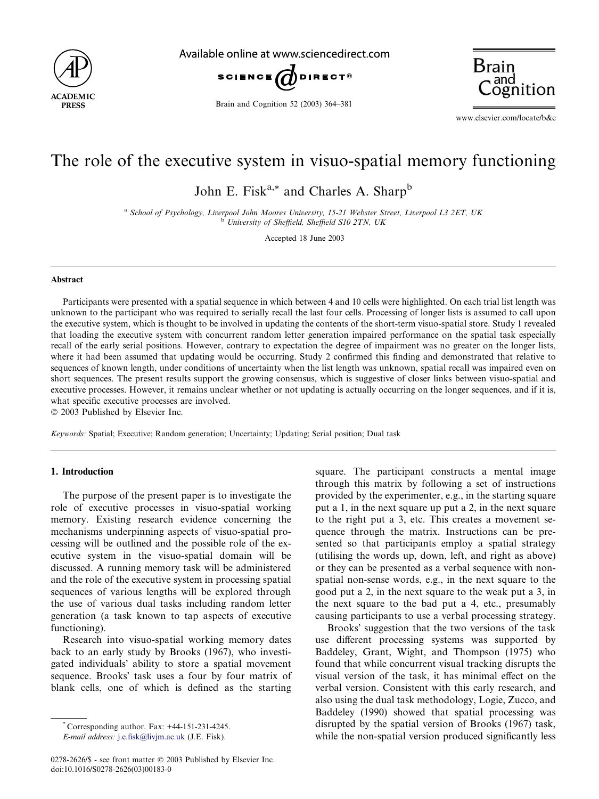

Available online at www.sciencedirect.com



Brain and Cognition 52 (2003) 364–381



www.elsevier.com/locate/b&c

## The role of the executive system in visuo-spatial memory functioning

John E. Fisk<sup>a,\*</sup> and Charles A. Sharp<sup>b</sup>

<sup>a</sup> School of Psychology, Liverpool John Moores University, 15-21 Webster Street, Liverpool L3 2ET, UK  $b$  University of Sheffield, Sheffield S10 2TN, UK

Accepted 18 June 2003

## Abstract

Participants were presented with a spatial sequence in which between 4 and 10 cells were highlighted. On each trial list length was unknown to the participant who was required to serially recall the last four cells. Processing of longer lists is assumed to call upon the executive system, which is thought to be involved in updating the contents of the short-term visuo-spatial store. Study 1 revealed that loading the executive system with concurrent random letter generation impaired performance on the spatial task especially recall of the early serial positions. However, contrary to expectation the degree of impairment was no greater on the longer lists, where it had been assumed that updating would be occurring. Study 2 confirmed this finding and demonstrated that relative to sequences of known length, under conditions of uncertainty when the list length was unknown, spatial recall was impaired even on short sequences. The present results support the growing consensus, which is suggestive of closer links between visuo-spatial and executive processes. However, it remains unclear whether or not updating is actually occurring on the longer sequences, and if it is, what specific executive processes are involved.

2003 Published by Elsevier Inc.

Keywords: Spatial; Executive; Random generation; Uncertainty; Updating; Serial position; Dual task

## 1. Introduction

The purpose of the present paper is to investigate the role of executive processes in visuo-spatial working memory. Existing research evidence concerning the mechanisms underpinning aspects of visuo-spatial processing will be outlined and the possible role of the executive system in the visuo-spatial domain will be discussed. A running memory task will be administered and the role of the executive system in processing spatial sequences of various lengths will be explored through the use of various dual tasks including random letter generation (a task known to tap aspects of executive functioning).

Research into visuo-spatial working memory dates back to an early study by Brooks (1967), who investigated individuals' ability to store a spatial movement sequence. Brooks' task uses a four by four matrix of blank cells, one of which is defined as the starting

 $^*$  Corresponding author. Fax:  $+44-151-231-4245$ .

E-mail address: [j.e.fisk@livjm.ac.uk](mail to: j.e.fisk@livjm.ac.uk) (J.E. Fisk).

square. The participant constructs a mental image through this matrix by following a set of instructions provided by the experimenter, e.g., in the starting square put a 1, in the next square up put a 2, in the next square to the right put a 3, etc. This creates a movement sequence through the matrix. Instructions can be presented so that participants employ a spatial strategy (utilising the words up, down, left, and right as above) or they can be presented as a verbal sequence with nonspatial non-sense words, e.g., in the next square to the good put a 2, in the next square to the weak put a 3, in the next square to the bad put a 4, etc., presumably causing participants to use a verbal processing strategy.

Brooks' suggestion that the two versions of the task use different processing systems was supported by Baddeley, Grant, Wight, and Thompson (1975) who found that while concurrent visual tracking disrupts the visual version of the task, it has minimal effect on the verbal version. Consistent with this early research, and also using the dual task methodology, Logie, Zucco, and Baddeley (1990) showed that spatial processing was disrupted by the spatial version of Brooks (1967) task, while the non-spatial version produced significantly less

<sup>0278-2626/\$ -</sup> see front matter  $\odot$  2003 Published by Elsevier Inc. doi:10.1016/S0278-2626(03)00183-0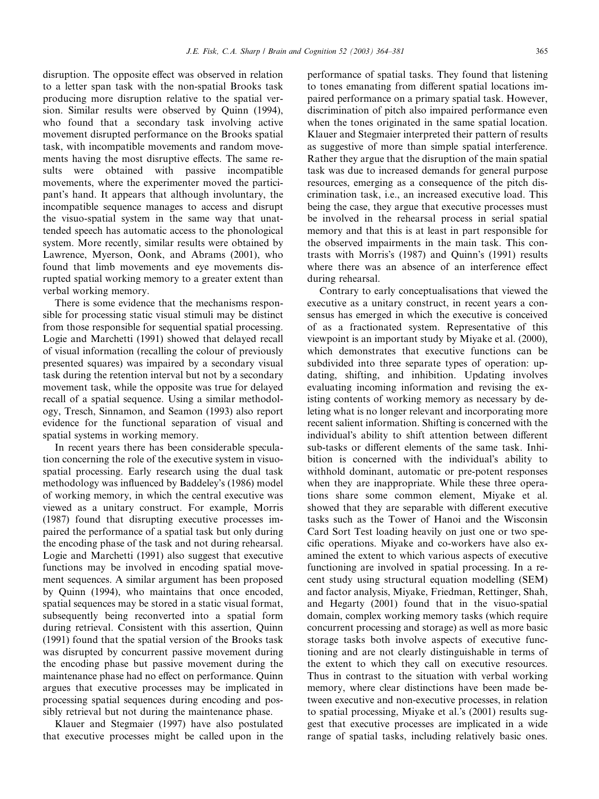disruption. The opposite effect was observed in relation to a letter span task with the non-spatial Brooks task producing more disruption relative to the spatial version. Similar results were observed by Quinn (1994), who found that a secondary task involving active movement disrupted performance on the Brooks spatial task, with incompatible movements and random movements having the most disruptive effects. The same results were obtained with passive incompatible movements, where the experimenter moved the participant's hand. It appears that although involuntary, the incompatible sequence manages to access and disrupt the visuo-spatial system in the same way that unattended speech has automatic access to the phonological system. More recently, similar results were obtained by

Lawrence, Myerson, Oonk, and Abrams (2001), who found that limb movements and eye movements disrupted spatial working memory to a greater extent than verbal working memory.

There is some evidence that the mechanisms responsible for processing static visual stimuli may be distinct from those responsible for sequential spatial processing. Logie and Marchetti (1991) showed that delayed recall of visual information (recalling the colour of previously presented squares) was impaired by a secondary visual task during the retention interval but not by a secondary movement task, while the opposite was true for delayed recall of a spatial sequence. Using a similar methodology, Tresch, Sinnamon, and Seamon (1993) also report evidence for the functional separation of visual and spatial systems in working memory.

In recent years there has been considerable speculation concerning the role of the executive system in visuospatial processing. Early research using the dual task methodology was influenced by Baddeley's (1986) model of working memory, in which the central executive was viewed as a unitary construct. For example, Morris (1987) found that disrupting executive processes impaired the performance of a spatial task but only during the encoding phase of the task and not during rehearsal. Logie and Marchetti (1991) also suggest that executive functions may be involved in encoding spatial movement sequences. A similar argument has been proposed by Quinn (1994), who maintains that once encoded, spatial sequences may be stored in a static visual format, subsequently being reconverted into a spatial form during retrieval. Consistent with this assertion, Quinn (1991) found that the spatial version of the Brooks task was disrupted by concurrent passive movement during the encoding phase but passive movement during the maintenance phase had no effect on performance. Quinn argues that executive processes may be implicated in processing spatial sequences during encoding and possibly retrieval but not during the maintenance phase.

Klauer and Stegmaier (1997) have also postulated that executive processes might be called upon in the

performance of spatial tasks. They found that listening to tones emanating from different spatial locations impaired performance on a primary spatial task. However, discrimination of pitch also impaired performance even when the tones originated in the same spatial location. Klauer and Stegmaier interpreted their pattern of results as suggestive of more than simple spatial interference. Rather they argue that the disruption of the main spatial task was due to increased demands for general purpose resources, emerging as a consequence of the pitch discrimination task, i.e., an increased executive load. This being the case, they argue that executive processes must be involved in the rehearsal process in serial spatial memory and that this is at least in part responsible for the observed impairments in the main task. This contrasts with Morris's (1987) and Quinn's (1991) results where there was an absence of an interference effect during rehearsal.

Contrary to early conceptualisations that viewed the executive as a unitary construct, in recent years a consensus has emerged in which the executive is conceived of as a fractionated system. Representative of this viewpoint is an important study by Miyake et al. (2000), which demonstrates that executive functions can be subdivided into three separate types of operation: updating, shifting, and inhibition. Updating involves evaluating incoming information and revising the existing contents of working memory as necessary by deleting what is no longer relevant and incorporating more recent salient information. Shifting is concerned with the individual's ability to shift attention between different sub-tasks or different elements of the same task. Inhibition is concerned with the individual's ability to withhold dominant, automatic or pre-potent responses when they are inappropriate. While these three operations share some common element, Miyake et al. showed that they are separable with different executive tasks such as the Tower of Hanoi and the Wisconsin Card Sort Test loading heavily on just one or two specific operations. Miyake and co-workers have also examined the extent to which various aspects of executive functioning are involved in spatial processing. In a recent study using structural equation modelling (SEM) and factor analysis, Miyake, Friedman, Rettinger, Shah, and Hegarty (2001) found that in the visuo-spatial domain, complex working memory tasks (which require concurrent processing and storage) as well as more basic storage tasks both involve aspects of executive functioning and are not clearly distinguishable in terms of the extent to which they call on executive resources. Thus in contrast to the situation with verbal working memory, where clear distinctions have been made between executive and non-executive processes, in relation to spatial processing, Miyake et al.'s (2001) results suggest that executive processes are implicated in a wide range of spatial tasks, including relatively basic ones.